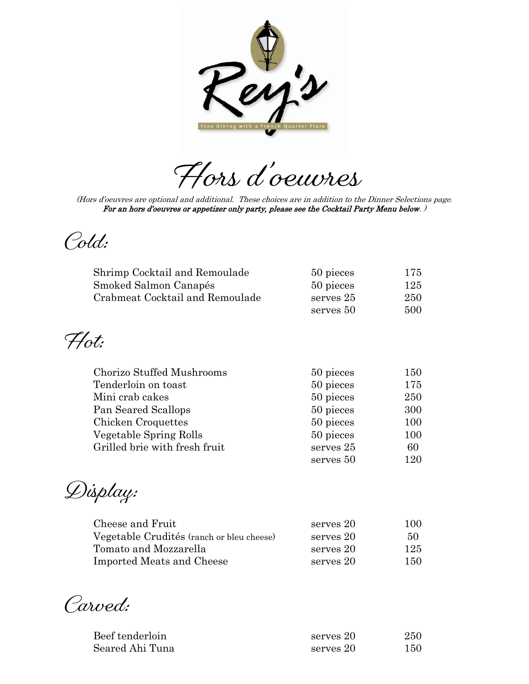

Hors d'oeuvres

(Hors d'oeuvres are optional and additional. These choices are in addition to the Dinner Selections page. For an hors d'oeuvres or appetizer only party, please see the Cocktail Party Menu below.)

Cold:

| Shrimp Cocktail and Remoulade   | 50 pieces | 175 |
|---------------------------------|-----------|-----|
| Smoked Salmon Canapés           | 50 pieces | 125 |
| Crabmeat Cocktail and Remoulade | serves 25 | 250 |
|                                 | serves 50 | 500 |

 $Hot:$ 

| Chorizo Stuffed Mushrooms     | 50 pieces | 150 |
|-------------------------------|-----------|-----|
| Tenderloin on toast           | 50 pieces | 175 |
| Mini crab cakes               | 50 pieces | 250 |
| Pan Seared Scallops           | 50 pieces | 300 |
| Chicken Croquettes            | 50 pieces | 100 |
| Vegetable Spring Rolls        | 50 pieces | 100 |
| Grilled brie with fresh fruit | serves 25 | 60  |
|                               | serves 50 | 120 |

Display:

| Cheese and Fruit                          | serves 20 | 100 |
|-------------------------------------------|-----------|-----|
| Vegetable Crudités (ranch or bleu cheese) | serves 20 | 50  |
| Tomato and Mozzarella                     | serves 20 | 125 |
| Imported Meats and Cheese                 | serves 20 | 150 |

Carved:

| Beef tenderloin | serves 20 | 250 |
|-----------------|-----------|-----|
| Seared Ahi Tuna | serves 20 | 150 |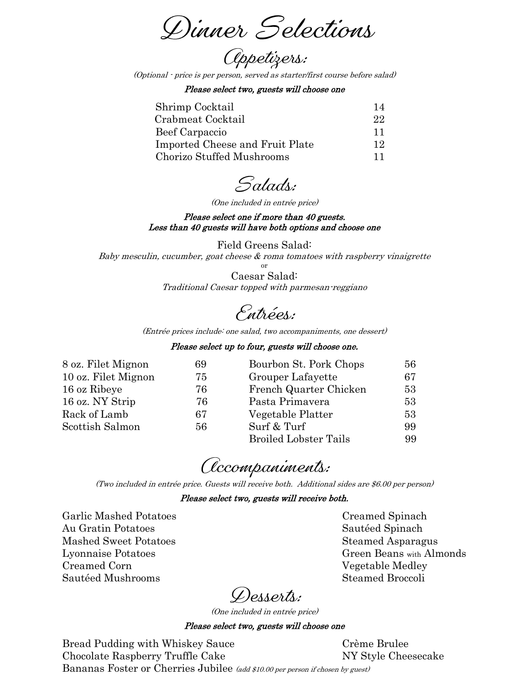Dinner Selections

*Oppetizers:* 

(Optional - price is per person, served as starter/first course before salad)

Please select two, guests will choose one

| Shrimp Cocktail                 | 14        |
|---------------------------------|-----------|
| Crabmeat Cocktail               | 22        |
| Beef Carpaccio                  | <b>11</b> |
| Imported Cheese and Fruit Plate | 12        |
| Chorizo Stuffed Mushrooms       |           |

Salads:

(One included in entrée price)

Please select one if more than 40 guests. Less than 40 guests will have both options and choose one

Field Greens Salad: Baby mesculin, cucumber, goat cheese  $\&$  roma tomatoes with raspberry vinaigrette or

> Caesar Salad: Traditional Caesar topped with parmesan-reggiano

Entrées:

(Entrée prices include: one salad, two accompaniments, one dessert)

### Please select up to four, guests will choose one.

| 8 oz. Filet Mignon  | 69 | Bourbon St. Pork Chops       | 56 |
|---------------------|----|------------------------------|----|
| 10 oz. Filet Mignon | 75 | Grouper Lafayette            | 67 |
| 16 oz Ribeye        | 76 | French Quarter Chicken       | 53 |
| 16 oz. NY Strip     | 76 | Pasta Primavera              | 53 |
| Rack of Lamb        | 67 | Vegetable Platter            | 53 |
| Scottish Salmon     | 56 | Surf & Turf                  | 99 |
|                     |    | <b>Broiled Lobster Tails</b> | 99 |

# *C*ccompaniments:

(Two included in entrée price. Guests will receive both. Additional sides are \$6.00 per person)

#### Please select two, guests will receive both.

Garlic Mashed Potatoes Creamed Spinach Au Gratin Potatoes Sautéed Spinach Mashed Sweet Potatoes Steamed Asparagus Creamed Corn Vegetable Medley Sautéed Mushrooms National Steamed Broccoli

Lyonnaise Potatoes Green Beans with Almonds

Desserts:

(One included in entrée price)

#### Please select two, guests will choose one

Bread Pudding with Whiskey Sauce Crème Brulee Chocolate Raspberry Truffle Cake NY Style Cheesecake Bananas Foster or Cherries Jubilee (add \$10.00 per person if chosen by guest)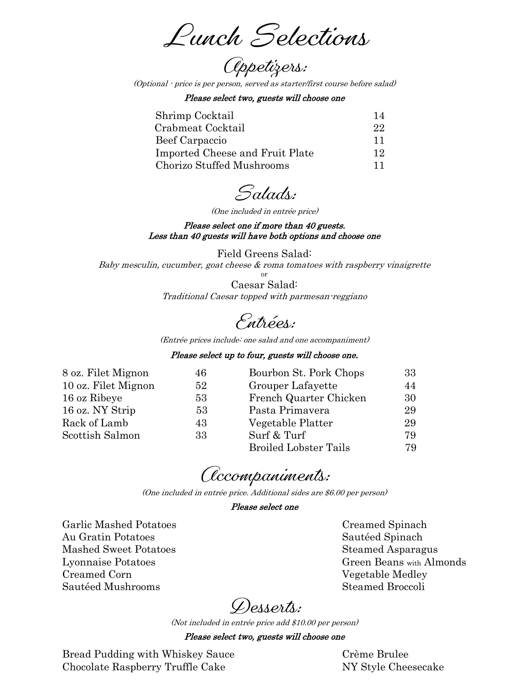Lunch Selections

(Optional - price is per person, served as starter/first course before salad)

Please select two, guests will choose one

| Shrimp Cocktail                 |     |
|---------------------------------|-----|
| Crabmeat Cocktail               | 22. |
| Beef Carpaccio                  |     |
| Imported Cheese and Fruit Plate | 12. |
| Chorizo Stuffed Mushrooms       |     |

Salads:

(One included in entrée price)

Please select one if more than 40 guests. Less than 40 guests will have both options and choose one

Field Greens Salad: Baby mesculin, cucumber, goat cheese  $\&$  roma tomatoes with raspberry vinaigrette

> or Caesar Salad: Traditional Caesar topped with parmesan-reggiano

Entrées:

(Entrée prices include: one salad and one accompaniment)

#### Please select up to four, guests will choose one.

| 8 oz. Filet Mignon  | 46 | Bourbon St. Pork Chops       | 33  |
|---------------------|----|------------------------------|-----|
| 10 oz. Filet Mignon | 52 | Grouper Lafayette            | 44  |
| 16 oz Ribeye        | 53 | French Quarter Chicken       | 30  |
| 16 oz. NY Strip     | 53 | Pasta Primavera              | 29  |
| Rack of Lamb        | 43 | Vegetable Platter            | 29  |
| Scottish Salmon     | 33 | Surf & Turf                  | 79. |
|                     |    | <b>Broiled Lobster Tails</b> | 79  |

*C*ccompaniments:

(One included in entrée price. Additional sides are \$6.00 per person)

#### Please select one

Garlic Mashed Potatoes Creamed Spinach Au Gratin Potatoes Sautéed Spinach Mashed Sweet Potatoes Steamed Asparagus Creamed Corn Vegetable Medley Sautéed Mushrooms Steamed Broccoli

Lyonnaise Potatoes Green Beans with Almonds

Desserts:

(Not included in entrée price add \$10.00 per person)

#### Please select two, guests will choose one

Bread Pudding with Whiskey Sauce Crème Brulee Chocolate Raspberry Truffle Cake NY Style Cheesecake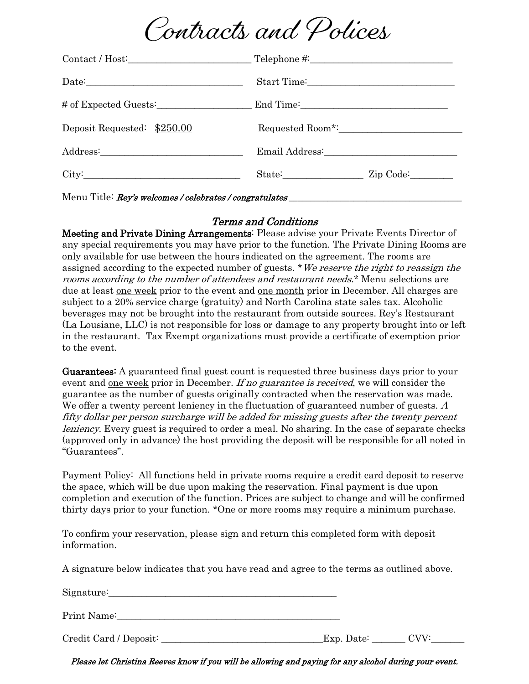

|                             | Contact / Host: Telephone #:    |
|-----------------------------|---------------------------------|
|                             |                                 |
|                             |                                 |
| Deposit Requested: \$250.00 |                                 |
|                             | Email Address: North March 1988 |
| City:                       | State: Zip Code:                |

## Terms and Conditions

Menu Title: Rey's welcomes / celebrates / congratulates

Meeting and Private Dining Arrangements: Please advise your Private Events Director of any special requirements you may have prior to the function. The Private Dining Rooms are only available for use between the hours indicated on the agreement. The rooms are assigned according to the expected number of guests. \* We reserve the right to reassign the rooms according to the number of attendees and restaurant needs.\* Menu selections are due at least one week prior to the event and one month prior in December. All charges are subject to a 20% service charge (gratuity) and North Carolina state sales tax. Alcoholic beverages may not be brought into the restaurant from outside sources. Rey's Restaurant (La Lousiane, LLC) is not responsible for loss or damage to any property brought into or left in the restaurant. Tax Exempt organizations must provide a certificate of exemption prior to the event.

Guarantees: A guaranteed final guest count is requested three business days prior to your event and <u>one week</u> prior in December. If no guarantee is received, we will consider the guarantee as the number of guests originally contracted when the reservation was made. We offer a twenty percent leniency in the fluctuation of guaranteed number of guests.  $A$ fifty dollar per person surcharge will be added for missing guests after the twenty percent *leniency*. Every guest is required to order a meal. No sharing. In the case of separate checks (approved only in advance) the host providing the deposit will be responsible for all noted in "Guarantees".

Payment Policy: All functions held in private rooms require a credit card deposit to reserve the space, which will be due upon making the reservation. Final payment is due upon completion and execution of the function. Prices are subject to change and will be confirmed thirty days prior to your function. \*One or more rooms may require a minimum purchase.

To confirm your reservation, please sign and return this completed form with deposit information.

A signature below indicates that you have read and agree to the terms as outlined above.

| Sigmaer                |            |      |
|------------------------|------------|------|
| Print Name:            |            |      |
| Credit Card / Deposit: | Exp. Date: | CVV: |

Please let Christina Reeves know if you will be allowing and paying for any alcohol during your event.